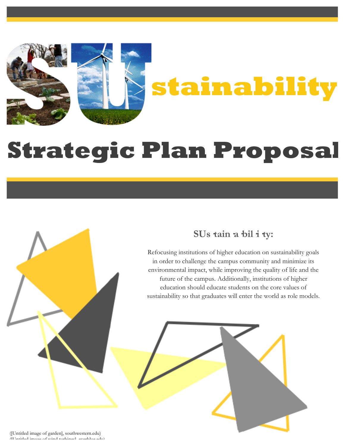

# **Strategic Plan Proposal**

## **SUs·tain·a·bil·i·ty:**

Refocusing institutions of higher education on sustainability goals in order to challenge the campus community and minimize its environmental impact, while improving the quality of life and the future of the campus. Additionally, institutions of higher education should educate students on the core values of sustainability so that graduates will enter the world as role models.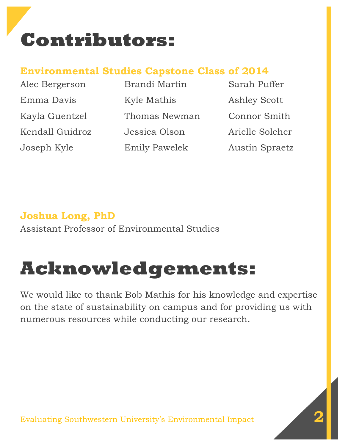# **Contributors:**

## **Environmental Studies Capstone Class of 2014**

| Alec Bergerson  | Brandi Martin        | Sarah Puffer          |
|-----------------|----------------------|-----------------------|
| Emma Davis      | Kyle Mathis          | <b>Ashley Scott</b>   |
| Kayla Guentzel  | Thomas Newman        | Connor Smith          |
| Kendall Guidroz | Jessica Olson        | Arielle Solcher       |
| Joseph Kyle     | <b>Emily Pawelek</b> | <b>Austin Spraetz</b> |

# **Joshua Long, PhD**

Assistant Professor of Environmental Studies

# **Acknowledgements:**

We would like to thank Bob Mathis for his knowledge and expertise on the state of sustainability on campus and for providing us with numerous resources while conducting our research.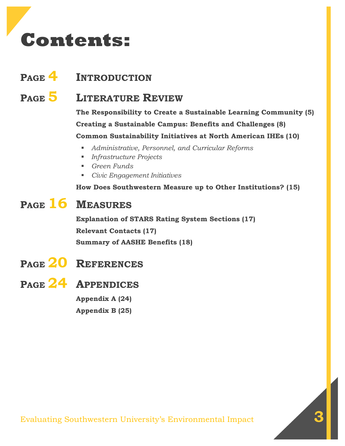# **Contents:**

## **PAGE 4 INTRODUCTION**

**PAGE 5 LITERATURE REVIEW**

**The Responsibility to Create a Sustainable Learning Community (5) Creating a Sustainable Campus: Benefits and Challenges (8) Common Sustainability Initiatives at North American IHEs (10)**

- *Administrative, Personnel, and Curricular Reforms*
- *Infrastructure Projects*
- *Green Funds*
- *Civic Engagement Initiatives*

**How Does Southwestern Measure up to Other Institutions? (15)**

## **PAGE 16 MEASURES**

**Explanation of STARS Rating System Sections (17) Relevant Contacts (17) Summary of AASHE Benefits (18)**

## **PAGE 24 APPENDICES**

**Appendix A (24) Appendix B (25)**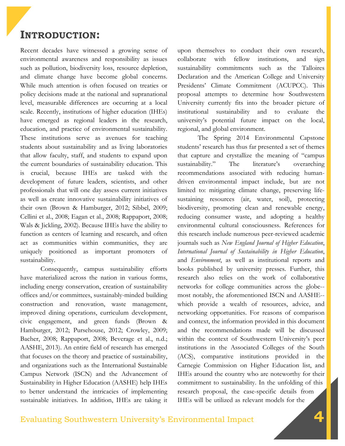## **INTRODUCTION:**

Recent decades have witnessed a growing sense of environmental awareness and responsibility as issues such as pollution, biodiversity loss, resource depletion, and climate change have become global concerns. While much attention is often focused on treaties or policy decisions made at the national and supranational level, measurable differences are occurring at a local scale. Recently, institutions of higher education (IHEs) have emerged as regional leaders in the research, education, and practice of environmental sustainability. These institutions serve as avenues for teaching students about sustainability and as living laboratories that allow faculty, staff, and students to expand upon the current boundaries of sustainability education. This is crucial, because IHEs are tasked with the development of future leaders, scientists, and other professionals that will one day assess current initiatives as well as create innovative sustainability initiatives of their own (Brown & Hamburger, 2012; Sibbel, 2009; Cellini et al., 2008; Eagan et al., 2008; Rappaport, 2008; Wals & Jickling, 2002). Because IHEs have the ability to function as centers of learning and research, and often act as communities within communities, they are uniquely positioned as important promoters of sustainability.

Consequently, campus sustainability efforts have materialized across the nation in various forms, including energy conservation, creation of sustainability offices and/or committees, sustainably-minded building construction and renovation, waste management, improved dining operations, curriculum development, civic engagement, and green funds (Brown & Hamburger, 2012; Pursehouse, 2012; Crowley, 2009; Bacher, 2008; Rappaport, 2008; Beverage et al., n.d.; AASHE, 2013). An entire field of research has emerged that focuses on the theory and practice of sustainability, and organizations such as the International Sustainable Campus Network (ISCN) and the Advancement of Sustainability in Higher Education (AASHE) help IHEs to better understand the intricacies of implementing sustainable initiatives. In addition, IHEs are taking it

upon themselves to conduct their own research, collaborate with fellow institutions, and sign sustainability commitments such as the Talloires Declaration and the American College and University Presidents' Climate Commitment (ACUPCC). This proposal attempts to determine how Southwestern University currently fits into the broader picture of institutional sustainability and to evaluate the university's potential future impact on the local, regional, and global environment.

The Spring 2014 Environmental Capstone students' research has thus far presented a set of themes that capture and crystallize the meaning of "campus sustainability." The literature's overarching recommendations associated with reducing humandriven environmental impact include, but are not limited to: mitigating climate change, preserving lifesustaining resources (air, water, soil), protecting biodiversity, promoting clean and renewable energy, reducing consumer waste, and adopting a healthy environmental cultural consciousness. References for this research include numerous peer-reviewed academic journals such as *New England Journal of Higher Education*, *International Journal of Sustainability in Higher Education*, and *Environment*, as well as institutional reports and books published by university presses. Further, this research also relies on the work of collaborative networks for college communities across the globe- most notably, the aforementioned ISCN and AASHE- which provide a wealth of resources, advice, and networking opportunities. For reasons of comparison and context, the information provided in this document and the recommendations made will be discussed within the context of Southwestern University's peer institutions in the Associated Colleges of the South (ACS), comparative institutions provided in the Carnegie Commission on Higher Education list, and IHEs around the country who are noteworthy for their commitment to sustainability. In the unfolding of this research proposal, the case-specific details from IHEs will be utilized as relevant models for the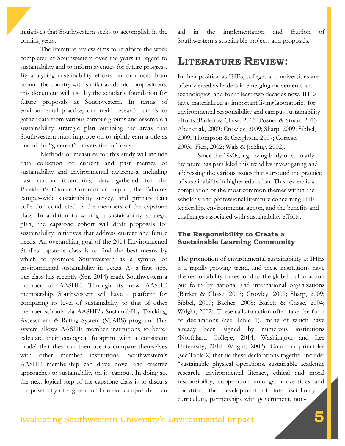initiatives that Southwestern seeks to accomplish in the coming years.

The literature review aims to reinforce the work completed at Southwestern over the years in regard to sustainability and to inform avenues for future progress. By analyzing sustainability efforts on campuses from around the country with similar academic compositions, this document will also lay the scholarly foundation for future proposals at Southwestern. In terms of environmental practice, our main research aim is to gather data from various campus groups and assemble a sustainability strategic plan outlining the areas that Southwestern must improve on to rightly earn a title as one of the "greenest" universities in Texas.

Methods or measures for this study will include data collection of current and past metrics of sustainability and environmental awareness, including past carbon inventories, data gathered for the President's Climate Commitment report, the Talloires campus-wide sustainability survey, and primary data collection conducted by the members of the capstone class. In addition to writing a sustainability strategic plan, the capstone cohort will draft proposals for sustainability initiatives that address current and future needs. An overarching goal of the 2014 Environmental Studies capstone class is to find the best means by which to promote Southwestern as a symbol of environmental sustainability in Texas. As a first step, our class has recently (Spr. 2014) made Southwestern a member of AASHE. Through its new AASHE membership, Southwestern will have a platform for comparing its level of sustainability to that of other member schools via AASHE's Sustainability Tracking, Assessment & Rating System (STARS) program. This system allows AASHE member institutions to better calculate their ecological footprint with a consistent model that they can then use to compare themselves with other member institutions. Southwestern's AASHE membership can drive novel and creative approaches to sustainability on its campus. In doing so, the next logical step of the capstone class is to discuss the possibility of a green fund on our campus that can

aid in the implementation and fruition of Southwestern's sustainable projects and proposals.

## **LITERATURE REVIEW:**

In their position as IHEs, colleges and universities are often viewed as leaders in emerging movements and technologies, and for at least two decades now, IHEs have materialized as important living laboratories for environmental responsibility and campus sustainability efforts (Barlett & Chase, 2013; Posner & Stuart, 2013; Aber et al., 2009; Crowley, 2009; Sharp, 2009; Sibbel, 2009; Thompson & Creighton, 2007; Cortese, 2003; Fien, 2002; Wals & Jickling, 2002).

Since the 1990s, a growing body of scholarly literature has paralleled this trend by investigating and addressing the various issues that surround the practice of sustainability in higher education. This review is a compilation of the most common themes within the scholarly and professional literature concerning IHE leadership, environmental action, and the benefits and challenges associated with sustainability efforts.

#### **The Responsibility to Create a Sustainable Learning Community**

The promotion of environmental sustainability at IHEs is a rapidly growing trend, and these institutions have the responsibility to respond to the global call to action put forth by national and international organizations (Barlett & Chase, 2013; Crowley, 2009; Sharp, 2009; Sibbel, 2009; Bacher, 2008; Barlett & Chase, 2004; Wright, 2002). These calls to action often take the form of declarations (see Table 1), many of which have already been signed by numerous institutions (Northland College, 2014; Washington and Lee University, 2014; Wright, 2002). Common principles (see Table 2) that tie these declarations together include: "sustainable physical operations, sustainable academic research, environmental literacy, ethical and moral responsibility, cooperation amongst universities and countries, the development of interdisciplinary curriculum, partnerships with government, non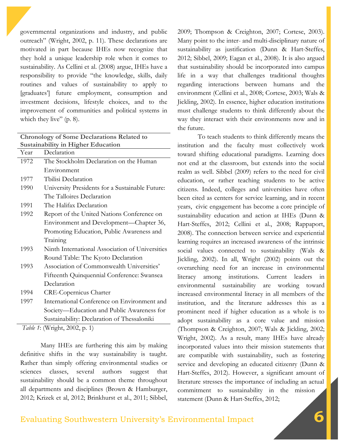governmental organizations and industry, and public outreach" (Wright, 2002, p. 11). These declarations are motivated in part because IHEs now recognize that they hold a unique leadership role when it comes to sustainability. As Cellini et al. (2008) argue, IHEs have a responsibility to provide "the knowledge, skills, daily routines and values of sustainability to apply to [graduates'] future employment, consumption and investment decisions, lifestyle choices, and to the improvement of communities and political systems in which they live" (p. 8).

| <b>Chronology of Some Declarations Related to</b> |                                                 |  |  |  |  |
|---------------------------------------------------|-------------------------------------------------|--|--|--|--|
| <b>Sustainability in Higher Education</b>         |                                                 |  |  |  |  |
| Year                                              | Declaration                                     |  |  |  |  |
| 1972                                              | The Stockholm Declaration on the Human          |  |  |  |  |
|                                                   | Environment                                     |  |  |  |  |
| 1977                                              | Tbilisi Declaration                             |  |  |  |  |
| 1990                                              | University Presidents for a Sustainable Future: |  |  |  |  |
|                                                   | The Talloires Declaration                       |  |  |  |  |
| 1991                                              | The Halifax Declaration                         |  |  |  |  |
| 1992                                              | Report of the United Nations Conference on      |  |  |  |  |
|                                                   | Environment and Development—Chapter 36,         |  |  |  |  |
|                                                   | Promoting Education, Public Awareness and       |  |  |  |  |
|                                                   | Training                                        |  |  |  |  |
| 1993                                              | Ninth International Association of Universities |  |  |  |  |
|                                                   | Round Table: The Kyoto Declaration              |  |  |  |  |
| 1993                                              | Association of Commonwealth Universities'       |  |  |  |  |
|                                                   | Fifteenth Quinquennial Conference: Swansea      |  |  |  |  |
|                                                   | Declaration                                     |  |  |  |  |
| 1994                                              | <b>CRE-Copernicus Charter</b>                   |  |  |  |  |
| 1997                                              | International Conference on Environment and     |  |  |  |  |
|                                                   | Society—Education and Public Awareness for      |  |  |  |  |
|                                                   | Sustainability: Declaration of Thessaloniki     |  |  |  |  |

*Table 1*: (Wright, 2002, p. 1)

Many IHEs are furthering this aim by making definitive shifts in the way sustainability is taught. Rather than simply offering environmental studies or sciences classes, several authors suggest that sustainability should be a common theme throughout all departments and disciplines (Brown & Hamburger, 2012; Krizek et al, 2012; Brinkhurst et al., 2011; Sibbel,

2009; Thompson & Creighton, 2007; Cortese, 2003). Many point to the inter- and multi-disciplinary nature of sustainability as justification (Dunn & Hart-Steffes, 2012; Sibbel, 2009; Eagan et al., 2008). It is also argued that sustainability should be incorporated into campus life in a way that challenges traditional thoughts regarding interactions between humans and the environment (Cellini et al., 2008; Cortese, 2003; Wals & Jickling, 2002). In essence, higher education institutions must challenge students to think differently about the way they interact with their environments now and in the future.

To teach students to think differently means the institution and the faculty must collectively work toward shifting educational paradigms. Learning does not end at the classroom, but extends into the social realm as well. Sibbel (2009) refers to the need for civil education, or rather teaching students to be active citizens. Indeed, colleges and universities have often been cited as centers for service learning, and in recent years, civic engagement has become a core principle of sustainability education and action at IHEs (Dunn & Hart-Steffes, 2012; Cellini et al., 2008; Rappaport, 2008). The connection between service and experiential learning requires an increased awareness of the intrinsic social values connected to sustainability (Wals & Jickling, 2002). In all, Wright (2002) points out the overarching need for an increase in environmental literacy among institutions. Current leaders in environmental sustainability are working toward increased environmental literacy in all members of the institution, and the literature addresses this as a prominent need if higher education as a whole is to adopt sustainability as a core value and mission (Thompson & Creighton, 2007; Wals & Jickling, 2002; Wright, 2002). As a result, many IHEs have already incorporated values into their mission statements that are compatible with sustainability, such as fostering service and developing an educated citizenry (Dunn & Hart-Steffes, 2012). However, a significant amount of literature stresses the importance of including an actual commitment to sustainability in the mission statement (Dunn & Hart-Steffes, 2012;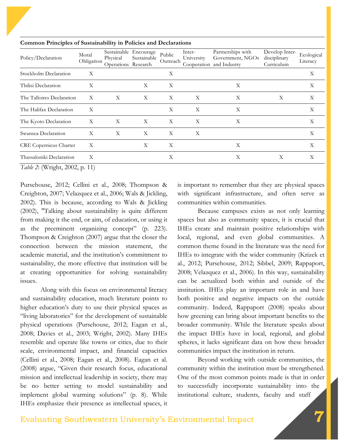| Policy/Declaration            | Moral<br>Obligation | Sustainable Encourage<br>Physical<br>Operations Research | Sustainable  | Public<br>Outreach | Inter-<br>University | Partnerships with<br>Government, NGOs<br>Cooperation and Industry | Develop Inter-<br>disciplinary<br>Curriculum | Ecological<br>Literacy |
|-------------------------------|---------------------|----------------------------------------------------------|--------------|--------------------|----------------------|-------------------------------------------------------------------|----------------------------------------------|------------------------|
| Stockholm Declaration         | X                   |                                                          |              | X                  |                      |                                                                   |                                              | Χ                      |
| Tbilisi Declaration           | X                   |                                                          | X            | X                  |                      | X                                                                 |                                              | Χ                      |
| The Talloires Declaration     | X                   | $\boldsymbol{\mathrm{X}}$                                | X            | X                  | X                    | X                                                                 | X                                            | X                      |
| The Halifax Declaration       | X                   |                                                          |              | X                  | X                    | X                                                                 |                                              | Χ                      |
| The Kyoto Declaration         | X                   | X                                                        | $\mathbf{X}$ | X                  | X                    | X                                                                 |                                              | X                      |
| Swansea Declaration           | X                   | X                                                        | X            | X                  | Χ                    |                                                                   |                                              | Χ                      |
| <b>CRE</b> Copernicus Charter | Χ                   |                                                          | X            | X                  |                      | Χ                                                                 |                                              | Χ                      |
| Thassaloniki Declaration      | X                   |                                                          |              | Χ                  |                      | Χ                                                                 | X                                            | X                      |

**Common Principles of Sustainability in Policies and Declarations**

*Table 2*: (Wright, 2002, p. 11)

Pursehouse, 2012; Cellini et al., 2008; Thompson & Creighton, 2007; Velazquez et al., 2006; Wals & Jickling, 2002). This is because, according to Wals & Jickling (2002), "Talking about sustainability is quite different from making it the end, or aim, of education, or using it as the preeminent organizing concept" (p. 223). Thompson & Creighton (2007) argue that the closer the connection between the mission statement, the academic material, and the institution's commitment to sustainability, the more effective that institution will be at creating opportunities for solving sustainability issues.

Along with this focus on environmental literacy and sustainability education, much literature points to higher education's duty to use their physical spaces as "living laboratories" for the development of sustainable physical operations (Pursehouse, 2012; Eagan et al., 2008; Davies et al., 2003; Wright, 2002). Many IHEs resemble and operate like towns or cities, due to their scale, environmental impact, and financial capacities (Cellini et al., 2008; Eagan et al., 2008). Eagan et al. (2008) argue, "Given their research focus, educational mission and intellectual leadership in society, there may be no better setting to model sustainability and implement global warming solutions" (p. 8). While IHEs emphasize their presence as intellectual spaces, it

is important to remember that they are physical spaces with significant infrastructure, and often serve as communities within communities.

Because campuses exists as not only learning spaces but also as community spaces, it is crucial that IHEs create and maintain positive relationships with local, regional, and even global communities. A common theme found in the literature was the need for IHEs to integrate with the wider community (Krizek et al., 2012; Pursehouse, 2012; Sibbel, 2009; Rappaport, 2008; Velazquez et al., 2006). In this way, sustainability can be actualized both within and outside of the institution. IHEs play an important role in and have both positive and negative impacts on the outside community. Indeed, Rappaport (2008) speaks about how greening can bring about important benefits to the broader community. While the literature speaks about the impact IHEs have in local, regional, and global spheres, it lacks significant data on how these broader communities impact the institution in return.

Beyond working with outside communities, the community within the institution must be strengthened. One of the most common points made is that in order to successfully incorporate sustainability into the institutional culture, students, faculty and staff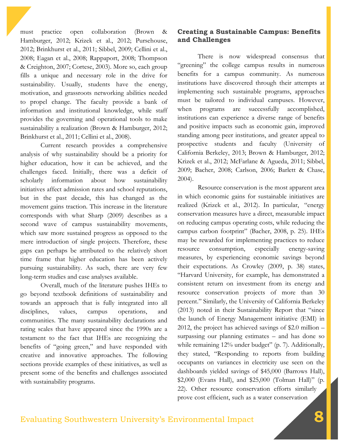must practice open collaboration (Brown & Hamburger, 2012; Krizek et al., 2012; Pursehouse, 2012; Brinkhurst et al., 2011; Sibbel, 2009; Cellini et al., 2008; Eagan et al., 2008; Rappaport, 2008; Thompson & Creighton, 2007; Cortese, 2003). More so, each group fills a unique and necessary role in the drive for sustainability. Usually, students have the energy, motivation, and grassroots networking abilities needed to propel change. The faculty provide a bank of information and institutional knowledge, while staff provides the governing and operational tools to make sustainability a realization (Brown & Hamburger, 2012; Brinkhurst et al., 2011; Cellini et al., 2008).

Current research provides a comprehensive analysis of why sustainability should be a priority for higher education, how it can be achieved, and the challenges faced. Initially, there was a deficit of scholarly information about how sustainability initiatives affect admission rates and school reputations, but in the past decade, this has changed as the movement gains traction. This increase in the literature corresponds with what Sharp (2009) describes as a second wave of campus sustainability movements, which saw more sustained progress as opposed to the mere introduction of single projects. Therefore, these gaps can perhaps be attributed to the relatively short time frame that higher education has been actively pursuing sustainability. As such, there are very few long-term studies and case analyses available.

Overall, much of the literature pushes IHEs to go beyond textbook definitions of sustainability and towards an approach that is fully integrated into all disciplines, values, campus operations, and communities. The many sustainability declarations and rating scales that have appeared since the 1990s are a testament to the fact that IHEs are recognizing the benefits of "going green," and have responded with creative and innovative approaches. The following sections provide examples of these initiatives, as well as present some of the benefits and challenges associated with sustainability programs.

## **Creating a Sustainable Campus: Benefits and Challenges**

There is now widespread consensus that "greening" the college campus results in numerous benefits for a campus community. As numerous institutions have discovered through their attempts at implementing such sustainable programs, approaches must be tailored to individual campuses. However, when programs are successfully accomplished, institutions can experience a diverse range of benefits and positive impacts such as economic gain, improved standing among peer institutions, and greater appeal to prospective students and faculty (University of California Berkeley, 2013; Brown & Hamburger, 2012; Krizek et al., 2012; McFarlane & Agueda, 2011; Sibbel, 2009; Bacher, 2008; Carlson, 2006; Barlett & Chase, 2004).

Resource conservation is the most apparent area in which economic gains for sustainable initiatives are realized (Krizek et al., 2012). In particular, "energy conservation measures have a direct, measurable impact on reducing campus operating costs, while reducing the campus carbon footprint" (Bacher, 2008, p. 25). IHEs may be rewarded for implementing practices to reduce resource consumption, especially energy-saving measures, by experiencing economic savings beyond their expectations. As Crowley (2009, p. 38) states, "Harvard University, for example, has demonstrated a consistent return on investment from its energy and resource conservation projects of more than 30 percent." Similarly, the University of California Berkeley (2013) noted in their Sustainability Report that "since the launch of Energy Management initiative (EMI) in 2012, the project has achieved savings of \$2.0 million – surpassing our planning estimates – and has done so while remaining 12% under budget" (p. 7). Additionally, they stated, "Responding to reports from building occupants on variances in electricity use seen on the dashboards yielded savings of \$45,000 (Barrows Hall), \$2,000 (Evans Hall), and \$25,000 (Tolman Hall)" (p. 22). Other resource conservation efforts similarly prove cost efficient, such as a water conservation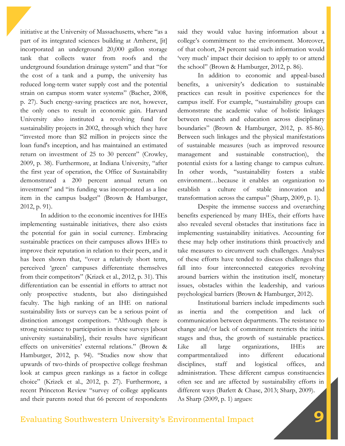initiative at the University of Massachusetts, where "as a part of its integrated sciences building at Amherst, [it] incorporated an underground 20,000 gallon storage tank that collects water from roofs and the underground foundation drainage system" and that "for the cost of a tank and a pump, the university has reduced long-term water supply cost and the potential strain on campus storm water systems" (Bacher, 2008, p. 27). Such energy-saving practices are not, however, the only ones to result in economic gain. Harvard University also instituted a revolving fund for sustainability projects in 2002, through which they have "invested more than \$l2 million in projects since the loan fund's inception, and has maintained an estimated return on investment of 25 to 30 percent" (Crowley, 2009, p. 38). Furthermore, at Indiana University, "after the first year of operation, the Office of Sustainability demonstrated a 200 percent annual return on investment" and "its funding was incorporated as a line item in the campus budget" (Brown & Hamburger, 2012, p. 91).

In addition to the economic incentives for IHEs implementing sustainable initiatives, there also exists the potential for gain in social currency. Embracing sustainable practices on their campuses allows IHEs to improve their reputation in relation to their peers, and it has been shown that, "over a relatively short term, perceived 'green' campuses differentiate themselves from their competitors" (Krizek et al., 2012, p. 31). This differentiation can be essential in efforts to attract not only prospective students, but also distinguished faculty. The high ranking of an IHE on national sustainability lists or surveys can be a serious point of distinction amongst competitors. "Although there is strong resistance to participation in these surveys [about university sustainability], their results have significant effects on universities' external relations." (Brown & Hamburger, 2012, p. 94). "Studies now show that upwards of two-thirds of prospective college freshman look at campus green rankings as a factor in college choice" (Krizek et al., 2012, p. 27). Furthermore, a recent Princeton Review "survey of college applicants and their parents noted that 66 percent of respondents

said they would value having information about a college's commitment to the environment. Moreover, of that cohort, 24 percent said such information would 'very much' impact their decision to apply to or attend the school" (Brown & Hamburger, 2012, p. 86).

In addition to economic and appeal-based benefits, a university's dedication to sustainable practices can result in positive experiences for the campus itself. For example, "sustainability groups can demonstrate the academic value of holistic linkages between research and education across disciplinary boundaries" (Brown & Hamburger, 2012, p. 85-86). Between such linkages and the physical manifestations of sustainable measures (such as improved resource management and sustainable construction), the potential exists for a lasting change to campus culture. In other words, "sustainability fosters a stable environment…because it enables an organization to establish a culture of stable innovation and transformation across the campus" (Sharp, 2009, p. 1).

Despite the immense success and overarching benefits experienced by many IHEs, their efforts have also revealed several obstacles that institutions face in implementing sustainability initiatives. Accounting for these may help other institutions think proactively and take measures to circumvent such challenges. Analyses of these efforts have tended to discuss challenges that fall into four interconnected categories revolving around barriers within the institution itself, monetary issues, obstacles within the leadership, and various psychological barriers (Brown & Hamburger, 2012).

Institutional barriers include impediments such as inertia and the competition and lack of communication between departments. The resistance to change and/or lack of commitment restricts the initial stages and thus, the growth of sustainable practices. Like all large organizations, IHEs are compartmentalized into different educational disciplines, staff and logistical offices, and administration. These different campus constituencies often see and are affected by sustainability efforts in different ways (Barlett & Chase, 2013; Sharp, 2009). As Sharp (2009, p. 1) argues: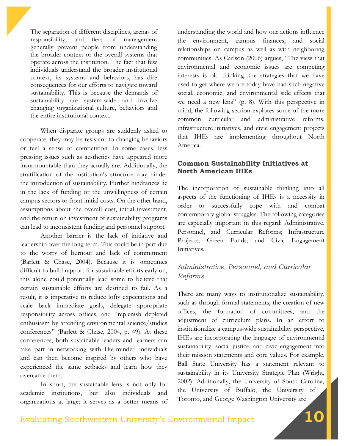The separation of different disciplines, arenas of responsibility, and tiers of management generally prevent people from understanding the broader context or the overall systems that operate across the institution. The fact that few individuals understand the broader institutional context, its systems and behaviors, has dire consequences for our efforts to navigate toward sustainability. This is because the demands of sustainability are system-wide and involve changing organizational culture, behaviors and the entire institutional context.

When disparate groups are suddenly asked to cooperate, they may be resistant to changing behaviors or feel a sense of competition. In some cases, less pressing issues such as aesthetics have appeared more insurmountable than they actually are. Additionally, the stratification of the institution's structure may hinder the introduction of sustainability. Further hindrances lie in the lack of funding or the unwillingness of certain campus sectors to front initial costs. On the other hand, assumptions about the overall cost, initial investment, and the return on investment of sustainability programs can lead to inconsistent funding and personnel support.

Another barrier is the lack of initiative and leadership over the long term. This could be in part due to the worry of burnout and lack of commitment (Barlett & Chase, 2004). Because it is sometimes difficult to build rapport for sustainable efforts early on, this alone could potentially lead some to believe that certain sustainable efforts are destined to fail. As a result, it is imperative to reduce lofty expectations and scale back immediate goals, delegate appropriate responsibility across offices, and "replenish depleted enthusiasm by attending environmental science/studies conferences" (Barlett & Chase, 2004, p. 49). At these conferences, both sustainable leaders and learners can take part in networking with like-minded individuals and can then become inspired by others who have experienced the same setbacks and learn how they overcame them.

In short, the sustainable lens is not only for academic institutions, but also individuals and organizations at large; it serves as a better means of

understanding the world and how our actions influence the environment, campus finances, and social relationships on campus as well as with neighboring communities. As Carlson (2006) argues, "The view that environmental and economic issues are competing interests is old thinking...the strategies that we have used to get where we are today have had such negative social, economic, and environmental side effects that we need a new lens" (p. 8). With this perspective in mind, the following section explores some of the more common curricular and administrative reforms, infrastructure initiatives, and civic engagement projects that IHEs are implementing throughout North America.

## **Common Sustainability Initiatives at North American IHEs**

The incorporation of sustainable thinking into all aspects of the functioning of IHEs is a necessity in order to successfully cope with and combat contemporary global struggles. The following categories are especially important in this regard: Administrative, Personnel, and Curricular Reforms; Infrastructure Projects; Green Funds; and Civic Engagement Initiatives.

## *Administrative, Personnel, and Curricular Reforms*

There are many ways to institutionalize sustainability, such as through formal statements, the creation of new offices, the formation of committees, and the adjustment of curriculum plans. In an effort to institutionalize a campus-wide sustainability perspective, IHEs are incorporating the language of environmental sustainability, social justice, and civic engagement into their mission statements and core values. For example, Ball State University has a statement relevant to sustainability in its University Strategic Plan (Wright, 2002). Additionally, the University of South Carolina, the University of Buffalo, the University of Toronto, and George Washington University are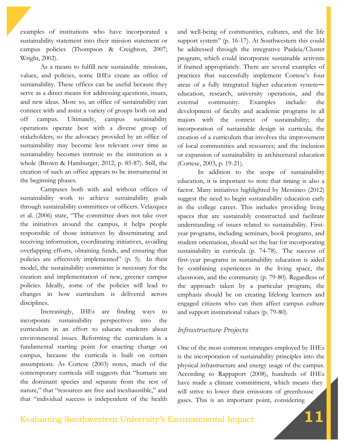examples of institutions who have incorporated a sustainability statement into their mission statement or campus policies (Thompson & Creighton, 2007; Wright, 2002).

As a means to fulfill new sustainable missions, values, and policies, some IHEs create an office of sustainability. These offices can be useful because they serve as a direct means for addressing questions, issues, and new ideas. More so, an office of sustainability can connect with and assist a variety of groups both on and off campus. Ultimately, campus sustainability operations operate best with a diverse group of stakeholders, so the advocacy provided by an office of sustainability may become less relevant over time as sustainability becomes intrinsic to the institution as a whole (Brown & Hamburger, 2012, p. 85-87). Still, the creation of such an office appears to be instrumental in the beginning phases.

Campuses both with and without offices of sustainability work to achieve sustainability goals through sustainability committees or officers. Velazquez et al. (2006) state, "The committee does not take over the initiatives around the campus, it helps people responsible of those initiatives by disseminating and receiving information, coordinating initiatives, avoiding overlapping efforts, obtaining funds, and ensuring that policies are effectively implemented" (p. 5). In their model, the sustainability committee is necessary for the creation and implementation of new, greener campus policies. Ideally, some of the policies will lead to changes in how curriculum is delivered across disciplines.

Increasingly, IHEs are finding ways to incorporate sustainability perspectives into the curriculum in an effort to educate students about environmental issues. Reforming the curriculum is a fundamental starting point for enacting change on campus, because the curricula is built on certain assumptions. As Cortese (2003) notes, much of the contemporary curricula still suggests that "humans are the dominant species and separate from the rest of nature," that "resources are free and inexhaustible," and that "individual success is independent of the health

and well-being of communities, cultures, and the life support system" (p. 16-17). At Southwestern this could be addressed through the integrative Paideia/Cluster program, which could incorporate sustainable activism if framed appropriately. There are several examples of practices that successfully implement Cortese's four areas of a fully integrated higher education system― education, research, university operations, and the external community. Examples include: the development of faculty and academic programs in all majors with the context of sustainability; the incorporation of sustainable design in curricula; the creation of a curriculum that involves the improvement of local communities and resources; and the inclusion or expansion of sustainability in architectural education (Cortese, 2003, p. 19-21).

In addition to the scope of sustainability education, it is important to note that timing is also a factor. Many initiatives highlighted by Messineo (2012) suggest the need to begin sustainability education early in the college career. This includes providing living spaces that are sustainably constructed and facilitate understanding of issues related to sustainability. Firstyear programs, including seminars, book programs, and student orientation, should set the bar for incorporating sustainability in curricula (p. 74-78). The success of first-year programs in sustainability education is aided by combining experiences in the living space, the classroom, and the community (p. 79-80). Regardless of the approach taken by a particular program, the emphasis should be on creating lifelong learners and engaged citizens who can then affect campus culture and support institutional values (p. 79-80).

#### *Infrastructure Projects*

One of the most common strategies employed by IHEs is the incorporation of sustainability principles into the physical infrastructure and energy usage of the campus. According to Rappaport (2008), hundreds of IHEs have made a climate commitment, which means they will strive to lower their emissions of greenhouse gases. This is an important point, considering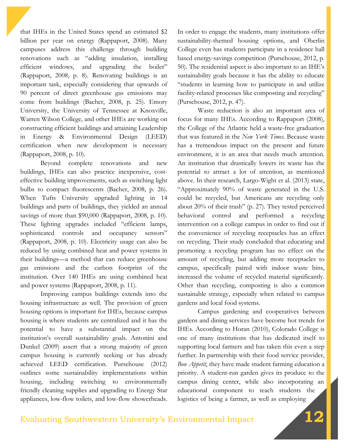that IHEs in the United States spend an estimated \$2 billion per year on energy (Rappaport, 2008). Many campuses address this challenge through building renovations such as "adding insulation, installing efficient windows, and upgrading the boiler" (Rappaport, 2008, p. 8). Renovating buildings is an important task, especially considering that upwards of 90 percent of direct greenhouse gas emissions may come from buildings (Bacher, 2008, p. 25). Emory University, the University of Tennessee at Knoxville, Warren Wilson College, and other IHEs are working on constructing efficient buildings and attaining Leadership in Energy & Environmental Design (LEED) certification when new development is necessary (Rappaport, 2008, p. 10).

Beyond complete renovations and new buildings, IHEs can also practice inexpensive, costeffective building improvements, such as switching light bulbs to compact fluorescents (Bacher, 2008, p. 26). When Tufts University upgraded lighting in 14 buildings and parts of buildings, they yielded an annual savings of more than \$90,000 (Rappaport, 2008, p. 10). These lighting upgrades included "efficient lamps, sophisticated controls and occupancy sensors" (Rappaport, 2008, p. 10). Electricity usage can also be reduced by using combined heat and power systems in their buildings—a method that can reduce greenhouse gas emissions and the carbon footprint of the institution. Over 140 IHEs are using combined heat and power systems (Rappaport, 2008, p. 11).

Improving campus buildings extends into the housing infrastructure as well. The provision of green housing options is important for IHEs, because campus housing is where students are centralized and it has the potential to have a substantial impact on the institution's overall sustainability goals. Antonini and Dunkel (2009) assert that a strong majority of green campus housing is currently seeking or has already achieved LEED certification. Pursehouse (2012) outlines some sustainability implementations within housing, including switching to environmentally friendly cleaning supplies and upgrading to Energy Star appliances, low-flow toilets, and low-flow showerheads.

In order to engage the students, many institutions offer sustainability-themed housing options, and Oberlin College even has students participate in a residence hall based energy-savings competition (Pursehouse, 2012, p. 50). The residential aspect is also important to an IHE's sustainability goals because it has the ability to educate "students in learning how to participate in and utilize facility-related processes like composting and recycling" (Pursehouse, 2012, p. 47).

Waste reduction is also an important area of focus for many IHEs. According to Rappaport (2008), the College of the Atlantic held a waste-free graduation that was featured in the *New York Times*. Because waste has a tremendous impact on the present and future environment, it is an area that needs much attention. An institution that drastically lowers its waste has the potential to attract a lot of attention, as mentioned above. In their research, Largo-Wight et al. (2013) state, "Approximately 90% of waste generated in the U.S. could be recycled, but Americans are recycling only about 20% of their trash" (p. 27). They tested perceived behavioral control and performed a recycling intervention on a college campus in order to find out if the convenience of recycling receptacles has an effect on recycling. Their study concluded that educating and promoting a recycling program has no effect on the amount of recycling, but adding more receptacles to campus, specifically paired with indoor waste bins, increased the volume of recycled material significantly. Other than recycling, composting is also a common sustainable strategy, especially when related to campus gardens and local food systems.

Campus gardening and cooperatives between gardens and dining services have become hot trends for IHEs. According to Horan (2010), Colorado College is one of many institutions that has dedicated itself to supporting local farmers and has taken this even a step further. In partnership with their food service provider, *Bon Appetit*, they have made student farming education a priority. A student-run garden gives its produce to the campus dining center, while also incorporating an educational component to teach students the logistics of being a farmer, as well as employing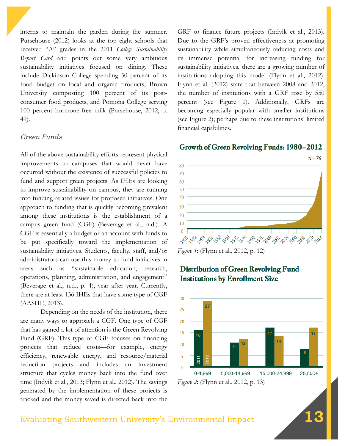interns to maintain the garden during the summer. Pursehouse (2012) looks at the top eight schools that received "A" grades in the 2011 *College Sustainability Report Card* and points out some very ambitious sustainability initiatives focused on dining. These include Dickinson College spending 50 percent of its food budget on local and organic products, Brown University composting 100 percent of its postconsumer food products, and Pomona College serving 100 percent hormone-free milk (Pursehouse, 2012, p. 49).

#### *Green Funds*

All of the above sustainability efforts represent physical improvements to campuses that would never have occurred without the existence of successful policies to fund and support green projects. As IHEs are looking to improve sustainability on campus, they are running into funding-related issues for proposed initiatives. One approach to funding that is quickly becoming prevalent among these institutions is the establishment of a campus green fund (CGF) (Beverage et al., n.d.). A CGF is essentially a budget or an account with funds to be put specifically toward the implementation of sustainability initiatives. Students, faculty, staff, and/or administrators can use this money to fund initiatives in areas such as "sustainable education, research, operations, planning, administration, and engagement" (Beverage et al., n.d., p. 4), year after year. Currently, there are at least 136 IHEs that have some type of CGF (AASHE, 2013).

Depending on the needs of the institution, there are many ways to approach a CGF. One type of CGF that has gained a lot of attention is the Green Revolving Fund (GRF). This type of CGF focuses on financing projects that reduce costs—for example, energy efficiency, renewable energy, and resource/material reduction projects—and includes an investment structure that cycles money back into the fund over time (Indvik et al., 2013; Flynn et al., 2012). The savings generated by the implementation of these projects is tracked and the money saved is directed back into the

GRF to finance future projects (Indvik et al., 2013). Due to the GRF's proven effectiveness at promoting sustainability while simultaneously reducing costs and its immense potential for increasing funding for sustainability initiatives, there are a growing number of institutions adopting this model (Flynn et al., 2012). Flynn et al. (2012) state that between 2008 and 2012, the number of institutions with a GRF rose by 550 percent (see Figure 1). Additionally, GRFs are becoming especially popular with smaller institutions (see Figure 2); perhaps due to these institutions' limited financial capabilities.

#### Growth of Green Revolving Funds: 1980-2012



*Figure 1*: (Flynn et al., 2012, p. 12)



## **Distribution of Green Revolving Fund Institutions by Enrollment Size**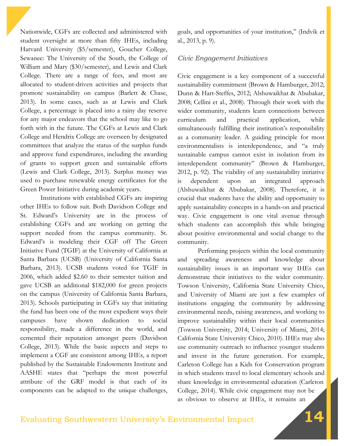Nationwide, CGFs are collected and administered with student oversight at more than fifty IHEs, including Harvard University (\$5/semester), Goucher College, Sewanee: The University of the South, the College of William and Mary (\$30/semester), and Lewis and Clark College. There are a range of fees, and most are allocated to student-driven activities and projects that promote sustainability on campus (Barlett & Chase, 2013). In some cases, such as at Lewis and Clark College, a percentage is placed into a rainy day reserve for any major endeavors that the school may like to go forth with in the future. The CGFs at Lewis and Clark College and Hendrix College are overseen by designated committees that analyze the status of the surplus funds and approve fund expenditures, including the awarding of grants to support green and sustainable efforts (Lewis and Clark College, 2013). Surplus money was used to purchase renewable energy certificates for the Green Power Initiative during academic years.

Institutions with established CGFs are inspiring other IHEs to follow suit. Both Davidson College and St. Edward's University are in the process of establishing CGFs and are working on getting the support needed from the campus community. St. Edward's is modeling their CGF off The Green Initiative Fund (TGIF) at the University of California at Santa Barbara (UCSB) (University of California Santa Barbara, 2013). UCSB students voted for TGIF in 2006, which added \$2.60 to their semester tuition and gave UCSB an additional \$182,000 for green projects on the campus (University of California Santa Barbara, 2013). Schools participating in CGFs say that initiating the fund has been one of the most expedient ways their campuses have shown dedication to social responsibility, made a difference in the world, and cemented their reputation amongst peers (Davidson College, 2013). While the basic aspects and steps to implement a CGF are consistent among IHEs, a report published by the Sustainable Endowments Institute and AASHE states that "perhaps the most powerful attribute of the GRF model is that each of its components can be adapted to the unique challenges,

goals, and opportunities of your institution," (Indvik et al., 2013, p. 9).

#### *Civic Engagement Initiatives*

Civic engagement is a key component of a successful sustainability commitment (Brown & Hamburger, 2012; Dunn & Hart-Steffes, 2012; Alshuwaikhat & Abubakar, 2008; Cellini et al., 2008). Through their work with the wider community, students learn connections between curriculum and practical application, while simultaneously fulfilling their institution's responsibility as a community leader. A guiding principle for most environmentalists is interdependence, and "a truly sustainable campus cannot exist in isolation from its interdependent community" (Brown & Hamburger, 2012, p. 92). The viability of any sustainability initiative is dependent upon an integrated approach (Alshuwaikhat & Abubakar, 2008). Therefore, it is crucial that students have the ability and opportunity to apply sustainability concepts in a hands-on and practical way. Civic engagement is one vital avenue through which students can accomplish this while bringing about positive environmental and social change to the community.

Performing projects within the local community and spreading awareness and knowledge about sustainability issues is an important way IHEs can demonstrate their initiatives to the wider community. Towson University, California State University Chico, and University of Miami are just a few examples of institutions engaging the community by addressing environmental needs, raising awareness, and working to improve sustainability within their local communities (Towson University, 2014; University of Miami, 2014; California State University Chico, 2010). IHEs may also use community outreach to influence younger students and invest in the future generation. For example, Carleton College has a Kids for Conservation program in which students travel to local elementary schools and share knowledge in environmental education (Carleton College, 2014). While civic engagement may not be as obvious to observe at IHEs, it remains an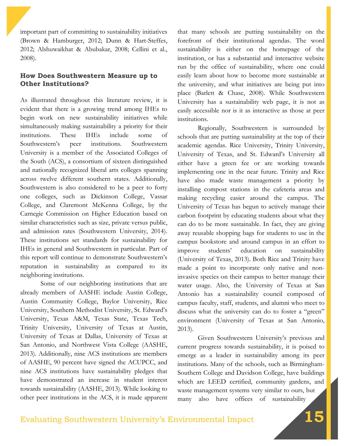important part of committing to sustainability initiatives (Brown & Hamburger, 2012; Dunn & Hart-Steffes, 2012; Alshuwaikhat & Abubakar, 2008; Cellini et al., 2008).

### **How Does Southwestern Measure up to Other Institutions?**

As illustrated throughout this literature review, it is evident that there is a growing trend among IHEs to begin work on new sustainability initiatives while simultaneously making sustainability a priority for their institutions. These IHEs include some of Southwestern's peer institutions. Southwestern University is a member of the Associated Colleges of the South (ACS), a consortium of sixteen distinguished and nationally recognized liberal arts colleges spanning across twelve different southern states. Additionally, Southwestern is also considered to be a peer to forty one colleges, such as Dickinson College, Vassar College, and Claremont McKenna College, by the Carnegie Commission on Higher Education based on similar characteristics such as size, private versus public, and admission rates (Southwestern University, 2014). These institutions set standards for sustainability for IHEs in general and Southwestern in particular. Part of this report will continue to demonstrate Southwestern's reputation in sustainability as compared to its neighboring institutions.

Some of our neighboring institutions that are already members of AASHE include Austin College, Austin Community College, Baylor University, Rice University, Southern Methodist University, St. Edward's University, Texas A&M, Texas State, Texas Tech, Trinity University, University of Texas at Austin, University of Texas at Dallas, University of Texas at San Antonio, and Northwest Vista College (AASHE, 2013). Additionally, nine ACS institutions are members of AASHE, 90 percent have signed the ACUPCC, and nine ACS institutions have sustainability pledges that have demonstrated an increase in student interest towards sustainability (AASHE, 2013). While looking to other peer institutions in the ACS, it is made apparent

that many schools are putting sustainability on the forefront of their institutional agendas. The word sustainability is either on the homepage of the institution, or has a substantial and interactive website run by the office of sustainability, where one could easily learn about how to become more sustainable at the university, and what initiatives are being put into place (Barlett & Chase, 2008). While Southwestern University has a sustainability web page, it is not as easily accessible nor is it as interactive as those at peer institutions.

Regionally, Southwestern is surrounded by schools that are putting sustainability at the top of their academic agendas. Rice University, Trinity University, University of Texas, and St. Edward's University all either have a green fee or are working towards implementing one in the near future. Trinity and Rice have also made waste management a priority by installing compost stations in the cafeteria areas and making recycling easier around the campus. The University of Texas has begun to actively manage their carbon footprint by educating students about what they can do to be more sustainable. In fact, they are giving away reusable shopping bags for students to use in the campus bookstore and around campus in an effort to improve students' education on sustainability (University of Texas, 2013). Both Rice and Trinity have made a point to incorporate only native and noninvasive species on their campus to better manage their water usage. Also, the University of Texas at San Antonio has a sustainability council composed of campus faculty, staff, students, and alumni who meet to discuss what the university can do to foster a "green" environment (University of Texas at San Antonio, 2013).

Given Southwestern University's previous and current progress towards sustainability, it is poised to emerge as a leader in sustainability among its peer institutions. Many of the schools, such as Birmingham-Southern College and Davidson College, have buildings which are LEED certified, community gardens, and waste management systems very similar to ours, but many also have offices of sustainability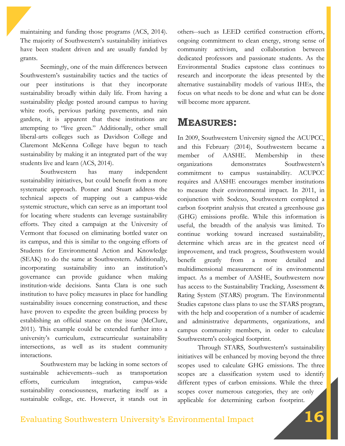maintaining and funding those programs (ACS, 2014). The majority of Southwestern's sustainability initiatives have been student driven and are usually funded by grants.

Seemingly, one of the main differences between Southwestern's sustainability tactics and the tactics of our peer institutions is that they incorporate sustainability broadly within daily life. From having a sustainability pledge posted around campus to having white roofs, pervious parking pavements, and rain gardens, it is apparent that these institutions are attempting to "live green." Additionally, other small liberal-arts colleges such as Davidson College and Claremont McKenna College have begun to teach sustainability by making it an integrated part of the way students live and learn (ACS, 2014).

Southwestern has many independent sustainability initiatives, but could benefit from a more systematic approach. Posner and Stuart address the technical aspects of mapping out a campus-wide systemic structure, which can serve as an important tool for locating where students can leverage sustainability efforts. They cited a campaign at the University of Vermont that focused on eliminating bottled water on its campus, and this is similar to the ongoing efforts of Students for Environmental Action and Knowledge (SEAK) to do the same at Southwestern. Additionally, incorporating sustainability into an institution's governance can provide guidance when making institution-wide decisions. Santa Clara is one such institution to have policy measures in place for handling sustainability issues concerning construction, and these have proven to expedite the green building process by establishing an official stance on the issue (McClure, 2011). This example could be extended further into a university's curriculum, extracurricular sustainability intersections, as well as its student community interactions.

Southwestern may be lacking in some sectors of sustainable achievements--such as transportation efforts, curriculum integration, campus-wide sustainability consciousness, marketing itself as a sustainable college, etc. However, it stands out in

others--such as LEED certified construction efforts, ongoing commitment to clean energy, strong sense of community activism, and collaboration between dedicated professors and passionate students. As the Environmental Studies capstone class continues to research and incorporate the ideas presented by the alternative sustainability models of various IHEs, the focus on what needs to be done and what can be done will become more apparent.

## **MEASURES:**

In 2009, Southwestern University signed the ACUPCC, and this February (2014), Southwestern became a member of AASHE. Membership in these organizations demonstrates Southwestern's commitment to campus sustainability. ACUPCC requires and AASHE encourages member institutions to measure their environmental impact. In 2011, in conjunction with Sodexo, Southwestern completed a carbon footprint analysis that created a greenhouse gas (GHG) emissions profile. While this information is useful, the breadth of the analysis was limited. To continue working toward increased sustainability, determine which areas are in the greatest need of improvement, and track progress, Southwestern would benefit greatly from a more detailed and multidimensional measurement of its environmental impact. As a member of AASHE, Southwestern now has access to the Sustainability Tracking, Assessment & Rating System (STARS) program. The Environmental Studies capstone class plans to use the STARS program, with the help and cooperation of a number of academic and administrative departments, organizations, and campus community members, in order to calculate Southwestern's ecological footprint.

Through STARS, Southwestern's sustainability initiatives will be enhanced by moving beyond the three scopes used to calculate GHG emissions. The three scopes are a classification system used to identify different types of carbon emissions. While the three scopes cover numerous categories, they are only applicable for determining carbon footprint.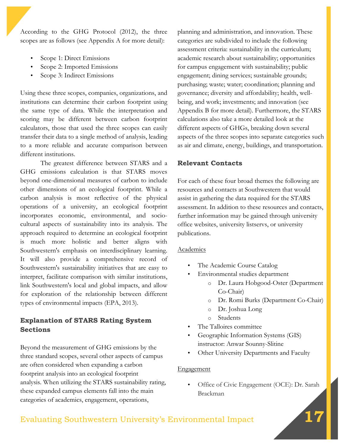According to the GHG Protocol (2012), the three scopes are as follows (see Appendix A for more detail):

- Scope 1: Direct Emissions
- Scope 2: Imported Emissions
- Scope 3: Indirect Emissions

Using these three scopes, companies, organizations, and institutions can determine their carbon footprint using the same type of data. While the interpretation and scoring may be different between carbon footprint calculators, those that used the three scopes can easily transfer their data to a single method of analysis, leading to a more reliable and accurate comparison between different institutions.

The greatest difference between STARS and a GHG emissions calculation is that STARS moves beyond one-dimensional measures of carbon to include other dimensions of an ecological footprint. While a carbon analysis is most reflective of the physical operations of a university, an ecological footprint incorporates economic, environmental, and sociocultural aspects of sustainability into its analysis. The approach required to determine an ecological footprint is much more holistic and better aligns with Southwestern's emphasis on interdisciplinary learning. It will also provide a comprehensive record of Southwestern's sustainability initiatives that are easy to interpret, facilitate comparison with similar institutions, link Southwestern's local and global impacts, and allow for exploration of the relationship between different types of environmental impacts (EPA, 2013).

## **Explanation of STARS Rating System Sections**

Beyond the measurement of GHG emissions by the three standard scopes, several other aspects of campus are often considered when expanding a carbon footprint analysis into an ecological footprint analysis. When utilizing the STARS sustainability rating, these expanded campus elements fall into the main categories of academics, engagement, operations,

planning and administration, and innovation. These categories are subdivided to include the following assessment criteria: sustainability in the curriculum; academic research about sustainability; opportunities for campus engagement with sustainability; public engagement; dining services; sustainable grounds; purchasing; waste; water; coordination; planning and governance; diversity and affordability; health, wellbeing, and work; investments; and innovation (see Appendix B for more detail). Furthermore, the STARS calculations also take a more detailed look at the different aspects of GHGs, breaking down several aspects of the three scopes into separate categories such as air and climate, energy, buildings, and transportation.

## **Relevant Contacts**

For each of these four broad themes the following are resources and contacts at Southwestern that would assist in gathering the data required for the STARS assessment. In addition to these resources and contacts, further information may be gained through university office websites, university listservs, or university publications.

#### Academics

- The Academic Course Catalog
- Environmental studies department
	- o Dr. Laura Hobgood-Oster (Department Co-Chair)
	- o Dr. Romi Burks (Department Co-Chair)
	- o Dr. Joshua Long
	- o Students
- The Talloires committee
- Geographic Information Systems (GIS) instructor: Anwar Sounny-Slitine
- Other University Departments and Faculty

#### Engagement

• Office of Civic Engagement (OCE): Dr. Sarah Brackman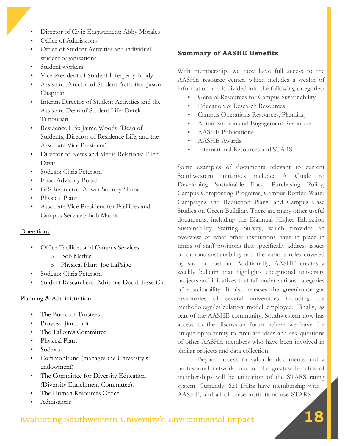- Director of Civic Engagement: Abby Morales
- Office of Admissions
- Office of Student Activities and individual student organizations
- Student workers
- Vice President of Student Life: Jerry Brody
- Assistant Director of Student Activities: Jason Chapman
- Interim Director of Student Activities and the Assistant Dean of Student Life: Derek Timourian
- Residence Life: Jaime Woody (Dean of Students, Director of Residence Life, and the Associate Vice President)
- Director of News and Media Relations: Ellen Davis
- Sodexo: Chris Peterson
- Food Advisory Board
- GIS Instructor: Anwar Sounny-Slitine
- Physical Plant
- Associate Vice President for Facilities and Campus Services: Bob Mathis

#### **Operations**

- Office Facilities and Campus Services
	- o Bob Mathis
	- o Physical Plant: Joe LaPaige
- Sodexo: Chris Peterson
- Student Researchers: Adrienne Dodd, Jesse Chu

#### Planning & Administration

- The Board of Trustees
- Provost: Jim Hunt
- The Talloires Committee
- Physical Plant
- Sodexo
- CommonFund (manages the University's endowment)
- The Committee for Diversity Education (Diversity Enrichment Committee).
- The Human Resources Office
- Admissions

### **Summary of AASHE Benefits**

With membership, we now have full access to the AASHE resource center, which includes a wealth of information and is divided into the following categories:

- General Resources for Campus Sustainability
- Education & Research Resources
- Campus Operations Resources, Planning
- Administration and Engagement Resources
- AASHE Publications
- AASHE Awards
- International Resources and STARS

Some examples of documents relevant to current Southwestern initiatives include: A Guide to Developing Sustainable Food Purchasing Policy, Campus Composting Programs, Campus Bottled Water Campaigns and Reduction Plans, and Campus Case Studies on Green Building. There are many other useful documents, including the Biannual Higher Education Sustainability Staffing Survey, which provides an overview of what other institutions have in place in terms of staff positions that specifically address issues of campus sustainability and the various roles covered by such a position. Additionally, AASHE creates a weekly bulletin that highlights exceptional university projects and initiatives that fall under various categories of sustainability. It also releases the greenhouse gas inventories of several universities including the methodology/calculation model employed. Finally, as part of the AASHE community, Southwestern now has access to the discussion forum where we have the unique opportunity to circulate ideas and ask questions of other AASHE members who have been involved in similar projects and data collection.

Beyond access to valuable documents and a professional network, one of the greatest benefits of memberships will be utilization of the STARS rating system. Currently, 621 IHEs have membership with AASHE, and all of these institutions use STARS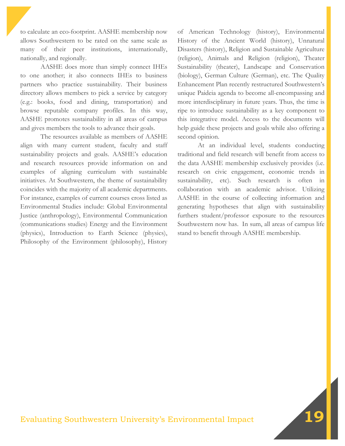to calculate an eco-footprint. AASHE membership now allows Southwestern to be rated on the same scale as many of their peer institutions, internationally, nationally, and regionally.

AASHE does more than simply connect IHEs to one another; it also connects IHEs to business partners who practice sustainability. Their business directory allows members to pick a service by category (e.g.: books, food and dining, transportation) and browse reputable company profiles. In this way, AASHE promotes sustainability in all areas of campus and gives members the tools to advance their goals.

The resources available as members of AASHE align with many current student, faculty and staff sustainability projects and goals. AASHE's education and research resources provide information on and examples of aligning curriculum with sustainable initiatives. At Southwestern, the theme of sustainability coincides with the majority of all academic departments. For instance, examples of current courses cross listed as Environmental Studies include: Global Environmental Justice (anthropology), Environmental Communication (communications studies) Energy and the Environment (physics), Introduction to Earth Science (physics), Philosophy of the Environment (philosophy), History

of American Technology (history), Environmental History of the Ancient World (history), Unnatural Disasters (history), Religion and Sustainable Agriculture (religion), Animals and Religion (religion), Theater Sustainability (theater), Landscape and Conservation (biology), German Culture (German), etc. The Quality Enhancement Plan recently restructured Southwestern's unique Paideia agenda to become all-encompassing and more interdisciplinary in future years. Thus, the time is ripe to introduce sustainability as a key component to this integrative model. Access to the documents will help guide these projects and goals while also offering a second opinion.

At an individual level, students conducting traditional and field research will benefit from access to the data AASHE membership exclusively provides (i.e. research on civic engagement, economic trends in sustainability, etc). Such research is often in collaboration with an academic advisor. Utilizing AASHE in the course of collecting information and generating hypotheses that align with sustainability furthers student/professor exposure to the resources Southwestern now has. In sum, all areas of campus life stand to benefit through AASHE membership.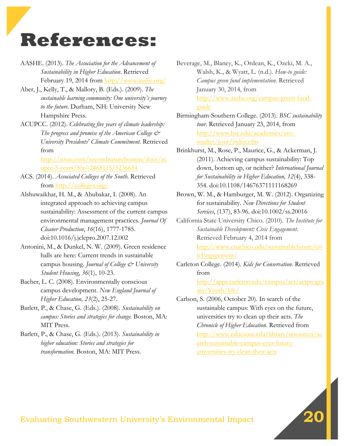# **References:**

- AASHE. (2013). *The Association for the Advancement of Sustainability in Higher Education*. Retrieved February 19, 2014 from http://www.aashe.org/
- Aber, J., Kelly, T., & Mallory, B. (Eds.). (2009). *The sustainable learning community: One university's journey to the future*. Durham, NH: University New Hampshire Press.
- ACUPCC. (2012). *Celebrating five years of climate leadership: The progress and promise of the American College & University Presidents' Climate Commitment*. Retrieved from

http://issuu.com/secondnatureboston/docs/ac upcc-5-years/8?e=2468115/5236634

- ACS. (2014). *Associated Colleges of the South*. Retrieved from http://colleges.org/
- Alshuwaikhat, H. M., & Abubakar, I. (2008). An integrated approach to achieving campus sustainability: Assessment of the current campus environmental management practices. *Journal Of Cleaner Production*, *16*(16), 1777-1785. doi:10.1016/j.jclepro.2007.12.002
- Antonini, M., & Dunkel, N. W. (2009). Green residence halls are here: Current trends in sustainable campus housing. *Journal of College & University Student Housing*, *36*(1), 10-23.
- Bacher, L. C. (2008). Environmentally conscious campus development. *New England Journal of Higher Education, 23*(2), 25-27.
- Barlett, P., & Chase, G. (Eds.). (2008). *Sustainability on campus: Stories and strategies for change.* Boston, MA: MIT Press.
- Barlett, P., & Chase, G. (Eds.). (2013). *Sustainability in higher education: Stories and strategies for transformation*. Boston, MA: MIT Press.
- Beverage, M., Blaney, K., Ordean, K., Ozeki, M. A., Walsh, K., & Wyatt, L. (n.d.). *How-to guide: Campus green fund implementation*. Retrieved January 30, 2014, from http://www.aashe.org/campus-green-fundguide
- Birmingham-Southern College. (2013). *BSC sustainability tour*. Retrieved January 23, 2014, from http://www.bsc.edu/academics/envstudies/tour/index.cfm
- Brinkhurst, M., Rose, P., Maurice, G., & Ackerman, J. (2011). Achieving campus sustainability: Top down, bottom up, or neither? *International Journal for Sustainability in Higher Education, 12*(4), 338- 354. doi:10.1108/14676371111168269
- Brown, W. M., & Hamburger, M. W. (2012). Organizing for sustainability. *New Directions for Student Services*, (137), 83-96. doi:10.1002/ss.20016
- California State University Chico. (2010). *The Institute for Sustainable Development: Civic Engagement*. Retrieved February 4, 2014 from http://www.csuchico.edu/sustainablefuture/civ icEngagement/
- Carleton College. (2014). *Kids for Conservation*. Retrieved from

http://apps.carleton.edu/campus/act/actprogra ms/Youth/kfc/

Carlson, S. (2006, October 20). In search of the sustainable campus: With eyes on the future, universities try to clean up their acts. *The Chronicle of Higher Education*. Retrieved from http://www.educause.edu/library/resources/se arch-sustainable-campus-eyes-futureuniversities-try-clean-their-acts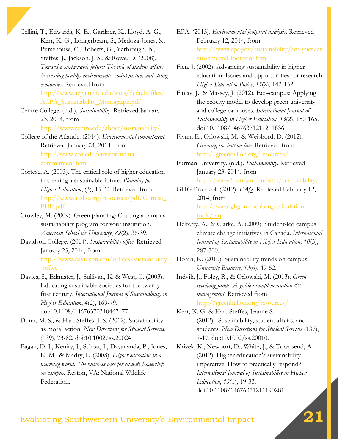Cellini, T., Edwards, K. E., Gardner, K., Lloyd, A. G., Kerr, K. G., Longerbeam, S., Medoza-Jones, S., Pursehouse, C., Roberts, G., Yarbrough, B., Steffes, J., Jackson, J. S., & Rowe, D. (2008). *Toward a sustainable future: The role of student affairs in creating healthy environments, social justice, and strong economies.* Retrieved from http://www.acpa.nche.edu/sites/default/files/ ACPA\_Sustainability\_Monograph.pdf

Centre College. (n.d.). *Sustainability*. Retrieved January 23, 2014, from

http://www.centre.edu/about/sustainability/

- College of the Atlantic. (2014). *Environmental commitment*. Retrieved January 24, 2014, from http://www.coa.edu/environmentalcommitment.htm
- Cortese, A. (2003). The critical role of higher education in creating a sustainable future. *Planning for Higher Education*, (3), 15-22. Retrieved from http://www.aashe.org/resources/pdf/Cortese\_ PHE.pdf
- Crowley, M. (2009). Green planning: Crafting a campus sustainability program for your institution. *American School & University*, *82*(2), 36-39.
- Davidson College. (2014). *Sustainability office*. Retrieved January 23, 2014, from http://www.davidson.edu/offices/sustainability -office
- Davies, S., Edmister, J., Sullivan, K. & West, C. (2003). Educating sustainable societies for the twentyfirst century. *International Journal of Sustainability in Higher Education*, *4*(2), 169-79. doi:10.1108/14676370310467177
- Dunn, M. S., & Hart-Steffes, J. S. (2012). Sustainability as moral action. *New Directions for Student Services*, (139), 73-82. doi:10.1002/ss.20024
- Eagan, D. J., Keniry, J., Schott, J., Dayananda, P., Jones, K. M., & Madry, L. (2008). *Higher education in a warming world: The business case for climate leadership on campus.* Reston, VA: National Wildlife Federation.
- EPA. (2013). *Environmental footprint analysis.* Retrieved February 12, 2014, from http://www.epa.gov/sustainability/analytics/en vironmental-footprint.htm
- Fien, J. (2002). Advancing sustainability in higher education: Issues and opportunities for research. *Higher Education Policy*, *15*(2), 142-152.
- Finlay, J., & Massey, J. (2012). Eco-campus: Applying the ecocity model to develop green university and college campuses. *International Journal of Sustainability in Higher Education, 13*(2), 150-165. doi:10.1108/14676371211211836
- Flynn, E., Orlowski, M., & Weisbord, D. (2012). *Greening the bottom line.* Retrieved from http://greenbillion.org/resources/
- Furman University. (n.d.). *Sustainability*. Retrieved January 23, 2014, from http://www2.furman.edu/sites/sustainability/
- GHG Protocol. (2012). *FAQ.* Retrieved February 12, 2014, from http://www.ghgprotocol.org/calculationtools/faq
- Helferty, A., & Clarke, A. (2009). Student-led campus climate change initiatives in Canada. *International Journal of Sustainability in Higher Education*, *10*(3), 287-300.
- Horan, K. (2010). Sustainability trends on campus. *University Business*, *13*(6), 49-52.
- Indvik, J., Foley, R., & Orlowski, M. (2013). *Green revolving funds: A guide to implementation & management*. Retrieved from http://greenbillion.org/resources/
- Kerr, K. G. & Hart-Steffes, Jeanne S. (2012). Sustainability, student affairs, and students. *New Directions for Student Services* (137), 7-17. doi:10.1002/ss.20010.
- Krizek, K., Newport, D., White, J., & Townsend, A. (2012). Higher education's sustainability imperative: How to practically respond? *International Journal of Sustainability in Higher Education*, *13*(1), 19-33. doi:10.1108/14676371211190281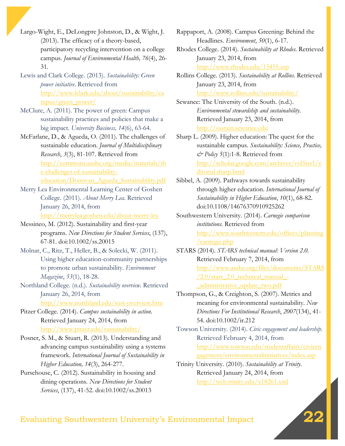Largo-Wight, E., DeLongpre Johnston, D., & Wight, J. (2013). The efficacy of a theory-based, participatory recycling intervention on a college campus. *Journal of Environmental Health, 76*(4), 26- 31.

- Lewis and Clark College. (2013). *Sustainability: Green power initiative*. Retrieved from http://www.lclark.edu/about/sustainability/ca mpus/green\_power/
- McClure, A. (2011). The power of green: Campus sustainability practices and policies that make a big impact. *University Business, 14*(6), 63-64.
- McFarlane, D., & Agueda, O. (2011). The challenges of sustainable education. *Journal of Multidisciplinary Research*, *3*(3), 81-107. Retrieved from http://commons.aashe.org/media/materials/th e-challenges-of-sustainabilityeducation/Donovan\_Agueda\_Sustainability.pdf
- Merry Lea Environmental Learning Center of Goshen College. (2011). *About Merry Lea*. Retrieved January 26, 2014, from http://merrylea.goshen.edu/about-merry-lea
- Messineo, M. (2012). Sustainability and first-year programs. *New Directions for Student Services*, (137), 67-81. doi:10.1002/ss.20015
- Molnar, C., Ritz, T., Heller, B., & Solecki, W. (2011). Using higher education-community partnerships to promote urban sustainability. *Environment Magazine*, *53*(1), 18-28.
- Northland College. (n.d.). *Sustainability overview*. Retrieved January 26, 2014, from http://www.northland.edu/sust-overview.htm

Pitzer College. (2014). *Campus sustainability in action.* Retrieved January 24, 2014, from http://www.pitzer.edu/sustainability/

Posner, S. M., & Stuart, R. (2013). Understanding and advancing campus sustainability using a systems framework. *International Journal of Sustainability in Higher Education, 14*(3), 264-277.

Pursehouse, C. (2012). Sustainability in housing and dining operations. *New Directions for Student Services*, (137), 41-52. doi:10.1002/ss.20013

Rappaport, A. (2008). Campus Greening: Behind the Headlines. *Environment*, *50*(1), 6-17.

Rhodes College. (2014). *Sustainability at Rhodes*. Retrieved January 23, 2014, from http://www.rhodes.edu/15455.asp

Rollins College. (2013). *Sustainability at Rollins*. Retrieved January 23, 2014, from http://www.rollins.edu/sustainability/

Sewanee: The University of the South. (n.d.). *Environmental stewardship and sustainability*. Retrieved January 23, 2014, from http://sustain.sewanee.edu

Sharp L. (2009). Higher education: The quest for the sustainable campus. *Sustainability: Science, Practice, & Policy 5*(1):1-8. Retrieved from http://scholar.google.com/archives/vol5iss1/e ditorial.sharp.html

Sibbel, A. (2009). Pathways towards sustainability through higher education. *International Journal of Sustainability in Higher Education*, *10*(1), 68-82. doi:10.1108/14676370910925262

- Southwestern University. (2014). *Carnegie comparison institutions.* Retrieved from http://www.southwestern.edu/offices/planning /carnegie.php
- STARS (2014). *STARS technical manual: Version 2.0.* Retrieved February 7, 2014, from http://www.aashe.org/files/documents/STARS  $/2.0$ /stars  $2.0$  technical manual -\_administrative\_update\_two.pdf

Thompson, G., & Creighton, S. (2007). Metrics and meaning for environmental sustainability. *New Directions For Institutional Research*, *2007*(134), 41- 54. doi:10.1002/ir.212

Towson University. (2014). *Civic engagement and leadership*. Retrieved February 4, 2014, from http://www.towson.edu/studentaffairs/civicen gagement/environmentalinitiatives/index.asp

Trinity University. (2010). *Sustainability at Trinity*. Retrieved January 24, 2014, from http://web.trinity.edu/x18261.xml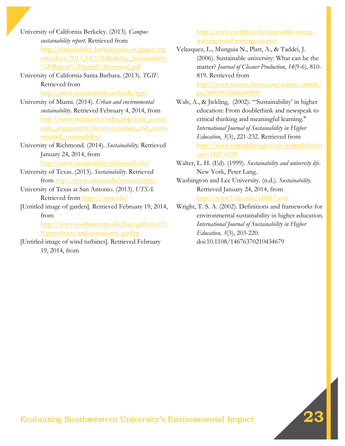University of California Berkeley. (2013). *Campus sustainability report*. Retrieved from http://sustainability.berkeley.edu/os/pages/rep orts/docs/2013\_UC%20Berkeley\_Sustainability %20Report%20(print%20version).pdf

- University of California Santa Barbara. (2013). *TGIF*. Retrieved from http://www.sustainability.ucsb.edu/tgif/
- University of Miami. (2014). *Urban and environmental sustainability*. Retrieved February 4, 2014, from http://www.miami.edu/index.php/civic\_comm unity\_engagement/initiatives/urban\_and\_enviro nmental\_sustainability/
- University of Richmond. (2014). *Sustainability*. Retrieved January 24, 2014, from http://www.sustainability.richmond.edu/
- University of Texas. (2013). *Sustainability*. Retrieved from http://www.utexas.edu/sustainability/
- University of Texas at San Antonio. (2013). *UTSA*. Retrieved from https://utsa.edu/
- [Untitled image of garden]. Retrieved February 19, 2014, from

http://www.southwestern.edu/live/galleries/15 9-greenhouse-and-community-garden

[Untitled image of wind turbines]. Retrieved February 19, 2014, from

http://www.everblue.edu/renewable-energytraining/wind-training-courses

Velazquez, L., Munguia N., Platt, A., & Taddei, J. (2006). Sustainable university: What can be the matter? *Journal of Cleaner Production, 14*(9-6), 810- 819. Retrieved from http://www.sciencedirect.com/science/article/ pii/S0959652606000199

- Wals, A., & Jickling, (2002). "'Sustainability' in higher education: From doublethink and newspeak to critical thinking and meaningful learning." *International Journal of Sustainability in Higher Education*, *3*(3), 221-232. Retrieved from http://www.emeraldinsight.com/journals.htm?i ssn=1467-6370
- Walter, L. H. (Ed). (1999). *Sustainability and university life*. New York, Peter Lang.
- Washington and Lee University. (n.d.). *Sustainability.*  Retrieved January 24, 2014, from http://www2.wlu.edu/x18417.xml
- Wright, T. S. A. (2002). Definitions and frameworks for environmental sustainability in higher education. *International Journal of Sustainability in Higher Education, 3*(3), 203-220. doi:10.1108/14676370210434679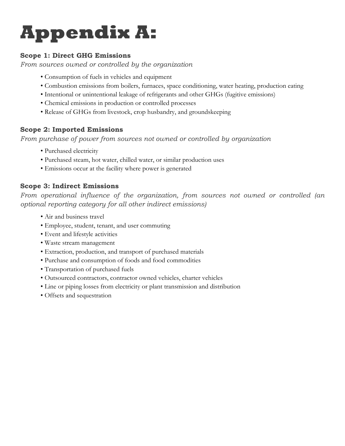# **Appendix A:**

## **Scope 1: Direct GHG Emissions**

*From sources owned or controlled by the organization*

- Consumption of fuels in vehicles and equipment
- Combustion emissions from boilers, furnaces, space conditioning, water heating, production eating
- Intentional or unintentional leakage of refrigerants and other GHGs (fugitive emissions)
- Chemical emissions in production or controlled processes
- Release of GHGs from livestock, crop husbandry, and groundskeeping

## **Scope 2: Imported Emissions**

*From purchase of power from sources not owned or controlled by organization*

- Purchased electricity
- Purchased steam, hot water, chilled water, or similar production uses
- Emissions occur at the facility where power is generated

## **Scope 3: Indirect Emissions**

*From operational influence of the organization, from sources not owned or controlled (an optional reporting category for all other indirect emissions)*

- Air and business travel
- Employee, student, tenant, and user commuting
- Event and lifestyle activities
- Waste stream management
- Extraction, production, and transport of purchased materials
- Purchase and consumption of foods and food commodities
- Transportation of purchased fuels
- Outsourced contractors, contractor owned vehicles, charter vehicles
- Line or piping losses from electricity or plant transmission and distribution
- Offsets and sequestration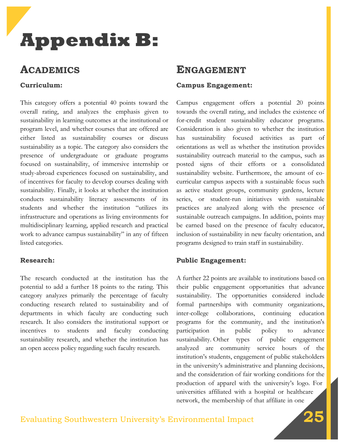# **Appendix B:**

## **ACADEMICS**

### **Curriculum:**

This category offers a potential 40 points toward the overall rating, and analyzes the emphasis given to sustainability in learning outcomes at the institutional or program level, and whether courses that are offered are either listed as sustainability courses or discuss sustainability as a topic. The category also considers the presence of undergraduate or graduate programs focused on sustainability, of immersive internship or study-abroad experiences focused on sustainability, and of incentives for faculty to develop courses dealing with sustainability. Finally, it looks at whether the institution conducts sustainability literacy assessments of its students and whether the institution "utilizes its infrastructure and operations as living environments for multidisciplinary learning, applied research and practical work to advance campus sustainability" in any of fifteen listed categories.

#### **Research:**

The research conducted at the institution has the potential to add a further 18 points to the rating. This category analyzes primarily the percentage of faculty conducting research related to sustainability and of departments in which faculty are conducting such research. It also considers the institutional support or incentives to students and faculty conducting sustainability research, and whether the institution has an open access policy regarding such faculty research.

## **ENGAGEMENT**

#### **Campus Engagement:**

Campus engagement offers a potential 20 points towards the overall rating, and includes the existence of for-credit student sustainability educator programs. Consideration is also given to whether the institution has sustainability focused activities as part of orientations as well as whether the institution provides sustainability outreach material to the campus, such as posted signs of their efforts or a consolidated sustainability website. Furthermore, the amount of cocurricular campus aspects with a sustainable focus such as active student groups, community gardens, lecture series, or student-run initiatives with sustainable practices are analyzed along with the presence of sustainable outreach campaigns. In addition, points may be earned based on the presence of faculty educator, inclusion of sustainability in new faculty orientation, and programs designed to train staff in sustainability.

#### **Public Engagement:**

A further 22 points are available to institutions based on their public engagement opportunities that advance sustainability. The opportunities considered include formal partnerships with community organizations, inter-college collaborations, continuing education programs for the community, and the institution's participation in public policy to advance sustainability. Other types of public engagement analyzed are community service hours of the institution's students, engagement of public stakeholders in the university's administrative and planning decisions, and the consideration of fair working conditions for the production of apparel with the university's logo. For universities affiliated with a hospital or healthcare network, the membership of that affiliate in one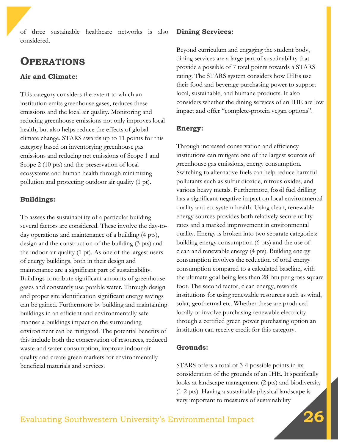of three sustainable healthcare networks is also considered.

## **OPERATIONS**

## **Air and Climate:**

This category considers the extent to which an institution emits greenhouse gases, reduces these emissions and the local air quality. Monitoring and reducing greenhouse emissions not only improves local health, but also helps reduce the effects of global climate change. STARS awards up to 11 points for this category based on inventorying greenhouse gas emissions and reducing net emissions of Scope 1 and Scope 2 (10 pts) and the preservation of local ecosystems and human health through minimizing pollution and protecting outdoor air quality (1 pt).

## **Buildings:**

To assess the sustainability of a particular building several factors are considered. These involve the day-today operations and maintenance of a building (4 pts), design and the construction of the building (3 pts) and the indoor air quality (1 pt). As one of the largest users of energy buildings, both in their design and maintenance are a significant part of sustainability. Buildings contribute significant amounts of greenhouse gases and constantly use potable water. Through design and proper site identification significant energy savings can be gained. Furthermore by building and maintaining buildings in an efficient and environmentally safe manner a buildings impact on the surrounding environment can be mitigated. The potential benefits of this include both the conservation of resources, reduced waste and water consumption, improve indoor air quality and create green markets for environmentally beneficial materials and services.

## **Dining Services:**

Beyond curriculum and engaging the student body, dining services are a large part of sustainability that provide a possible of 7 total points towards a STARS rating. The STARS system considers how IHEs use their food and beverage purchasing power to support local, sustainable, and humane products. It also considers whether the dining services of an IHE are low impact and offer "complete-protein vegan options".

## **Energy:**

Through increased conservation and efficiency institutions can mitigate one of the largest sources of greenhouse gas emissions, energy consumption. Switching to alternative fuels can help reduce harmful pollutants such as sulfur dioxide, nitrous oxides, and various heavy metals. Furthermore, fossil fuel drilling has a significant negative impact on local environmental quality and ecosystem health. Using clean, renewable energy sources provides both relatively secure utility rates and a marked improvement in environmental quality. Energy is broken into two separate categories: building energy consumption (6 pts) and the use of clean and renewable energy (4 pts). Building energy consumption involves the reduction of total energy consumption compared to a calculated baseline, with the ultimate goal being less than 28 Btu per gross square foot. The second factor, clean energy, rewards institutions for using renewable resources such as wind, solar, geothermal etc. Whether these are produced locally or involve purchasing renewable electricity through a certified green power purchasing option an institution can receive credit for this category.

## **Grounds:**

STARS offers a total of 3-4 possible points in its consideration of the grounds of an IHE. It specifically looks at landscape management (2 pts) and biodiversity (1-2 pts). Having a sustainable physical landscape is very important to measures of sustainability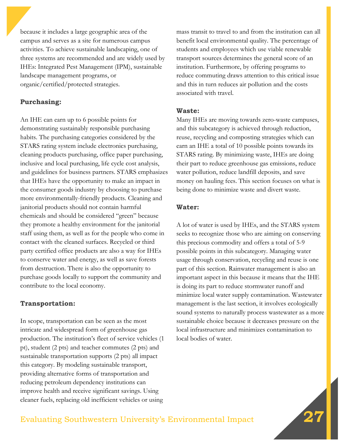because it includes a large geographic area of the campus and serves as a site for numerous campus activities. To achieve sustainable landscaping, one of three systems are recommended and are widely used by IHEs: Integrated Pest Management (IPM), sustainable landscape management programs, or organic/certified/protected strategies.

#### **Purchasing:**

An IHE can earn up to 6 possible points for demonstrating sustainably responsible purchasing habits. The purchasing categories considered by the STARS rating system include electronics purchasing, cleaning products purchasing, office paper purchasing, inclusive and local purchasing, life cycle cost analysis, and guidelines for business partners. STARS emphasizes that IHEs have the opportunity to make an impact in the consumer goods industry by choosing to purchase more environmentally-friendly products. Cleaning and janitorial products should not contain harmful chemicals and should be considered "green" because they promote a healthy environment for the janitorial staff using them, as well as for the people who come in contact with the cleaned surfaces. Recycled or third party certified office products are also a way for IHEs to conserve water and energy, as well as save forests from destruction. There is also the opportunity to purchase goods locally to support the community and contribute to the local economy.

#### **Transportation:**

In scope, transportation can be seen as the most intricate and widespread form of greenhouse gas production. The institution's fleet of service vehicles (1 pt), student (2 pts) and teacher commutes (2 pts) and sustainable transportation supports (2 pts) all impact this category. By modeling sustainable transport, providing alternative forms of transportation and reducing petroleum dependency institutions can improve health and receive significant savings. Using cleaner fuels, replacing old inefficient vehicles or using

mass transit to travel to and from the institution can all benefit local environmental quality. The percentage of students and employees which use viable renewable transport sources determines the general score of an institution. Furthermore, by offering programs to reduce commuting draws attention to this critical issue and this in turn reduces air pollution and the costs associated with travel.

#### **Waste:**

Many IHEs are moving towards zero-waste campuses, and this subcategory is achieved through reduction, reuse, recycling and composting strategies which can earn an IHE a total of 10 possible points towards its STARS rating. By minimizing waste, IHEs are doing their part to reduce greenhouse gas emissions, reduce water pollution, reduce landfill deposits, and save money on hauling fees. This section focuses on what is being done to minimize waste and divert waste.

#### **Water:**

A lot of water is used by IHEs, and the STARS system seeks to recognize those who are aiming on conserving this precious commodity and offers a total of 5-9 possible points in this subcategory. Managing water usage through conservation, recycling and reuse is one part of this section. Rainwater management is also an important aspect in this because it means that the IHE is doing its part to reduce stormwater runoff and minimize local water supply contamination. Wastewater management is the last section, it involves ecologically sound systems to naturally process wastewater as a more sustainable choice because it decreases pressure on the local infrastructure and minimizes contamination to local bodies of water.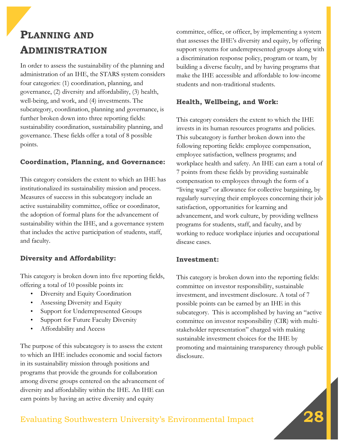## **PLANNING AND ADMINISTRATION**

In order to assess the sustainability of the planning and administration of an IHE, the STARS system considers four categories: (1) coordination, planning, and governance, (2) diversity and affordability, (3) health, well-being, and work, and (4) investments. The subcategory, coordination, planning and governance, is further broken down into three reporting fields: sustainability coordination, sustainability planning, and governance. These fields offer a total of 8 possible points.

## **Coordination, Planning, and Governance:**

This category considers the extent to which an IHE has institutionalized its sustainability mission and process. Measures of success in this subcategory include an active sustainability committee, office or coordinator, the adoption of formal plans for the advancement of sustainability within the IHE, and a governance system that includes the active participation of students, staff, and faculty.

## **Diversity and Affordability:**

This category is broken down into five reporting fields, offering a total of 10 possible points in:

- Diversity and Equity Coordination
- Assessing Diversity and Equity
- Support for Underrepresented Groups
- Support for Future Faculty Diversity
- Affordability and Access

The purpose of this subcategory is to assess the extent to which an IHE includes economic and social factors in its sustainability mission through positions and programs that provide the grounds for collaboration among diverse groups centered on the advancement of diversity and affordability within the IHE. An IHE can earn points by having an active diversity and equity

committee, office, or officer, by implementing a system that assesses the IHE's diversity and equity, by offering support systems for underrepresented groups along with a discrimination response policy, program or team, by building a diverse faculty, and by having programs that make the IHE accessible and affordable to low-income students and non-traditional students.

## **Health, Wellbeing, and Work:**

This category considers the extent to which the IHE invests in its human resources programs and policies. This subcategory is further broken down into the following reporting fields: employee compensation, employee satisfaction, wellness programs; and workplace health and safety. An IHE can earn a total of 7 points from these fields by providing sustainable compensation to employees through the form of a "living wage" or allowance for collective bargaining, by regularly surveying their employees concerning their job satisfaction, opportunities for learning and advancement, and work culture, by providing wellness programs for students, staff, and faculty, and by working to reduce workplace injuries and occupational disease cases.

#### **Investment:**

This category is broken down into the reporting fields: committee on investor responsibility, sustainable investment, and investment disclosure. A total of 7 possible points can be earned by an IHE in this subcategory. This is accomplished by having an "active committee on investor responsibility (CIR) with multistakeholder representation" charged with making sustainable investment choices for the IHE by promoting and maintaining transparency through public disclosure.